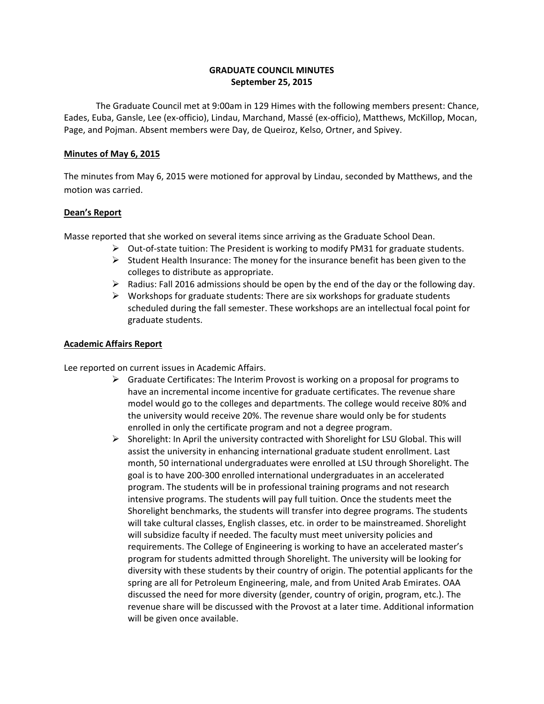# **GRADUATE COUNCIL MINUTES September 25, 2015**

 The Graduate Council met at 9:00am in 129 Himes with the following members present: Chance, Eades, Euba, Gansle, Lee (ex-officio), Lindau, Marchand, Massé (ex-officio), Matthews, McKillop, Mocan, Page, and Pojman. Absent members were Day, de Queiroz, Kelso, Ortner, and Spivey.

## **Minutes of May 6, 2015**

The minutes from May 6, 2015 were motioned for approval by Lindau, seconded by Matthews, and the motion was carried.

# **Dean's Report**

Masse reported that she worked on several items since arriving as the Graduate School Dean.

- $\triangleright$  Out-of-state tuition: The President is working to modify PM31 for graduate students.
- $\triangleright$  Student Health Insurance: The money for the insurance benefit has been given to the colleges to distribute as appropriate.
- $\triangleright$  Radius: Fall 2016 admissions should be open by the end of the day or the following day.
- $\triangleright$  Workshops for graduate students: There are six workshops for graduate students scheduled during the fall semester. These workshops are an intellectual focal point for graduate students.

# **Academic Affairs Report**

Lee reported on current issues in Academic Affairs.

- $\triangleright$  Graduate Certificates: The Interim Provost is working on a proposal for programs to have an incremental income incentive for graduate certificates. The revenue share model would go to the colleges and departments. The college would receive 80% and the university would receive 20%. The revenue share would only be for students enrolled in only the certificate program and not a degree program.
- $\triangleright$  Shorelight: In April the university contracted with Shorelight for LSU Global. This will assist the university in enhancing international graduate student enrollment. Last month, 50 international undergraduates were enrolled at LSU through Shorelight. The goal is to have 200-300 enrolled international undergraduates in an accelerated program. The students will be in professional training programs and not research intensive programs. The students will pay full tuition. Once the students meet the Shorelight benchmarks, the students will transfer into degree programs. The students will take cultural classes, English classes, etc. in order to be mainstreamed. Shorelight will subsidize faculty if needed. The faculty must meet university policies and requirements. The College of Engineering is working to have an accelerated master's program for students admitted through Shorelight. The university will be looking for diversity with these students by their country of origin. The potential applicants for the spring are all for Petroleum Engineering, male, and from United Arab Emirates. OAA discussed the need for more diversity (gender, country of origin, program, etc.). The revenue share will be discussed with the Provost at a later time. Additional information will be given once available.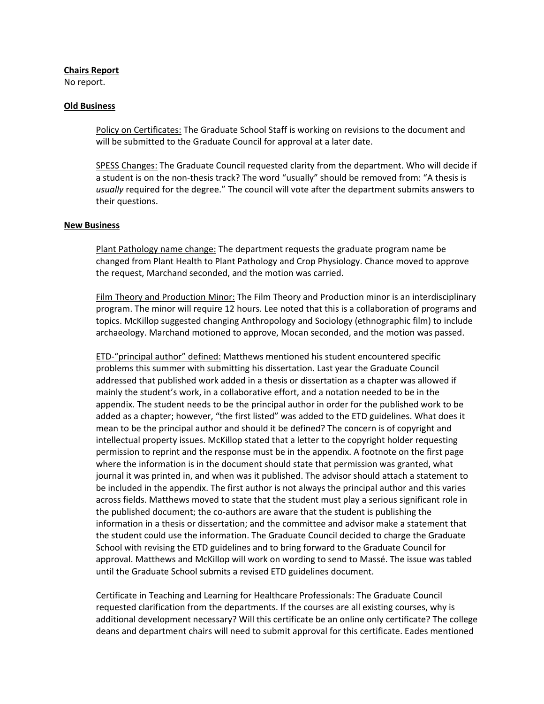### **Chairs Report**

No report.

### **Old Business**

Policy on Certificates: The Graduate School Staff is working on revisions to the document and will be submitted to the Graduate Council for approval at a later date.

SPESS Changes: The Graduate Council requested clarity from the department. Who will decide if a student is on the non-thesis track? The word "usually" should be removed from: "A thesis is *usually* required for the degree." The council will vote after the department submits answers to their questions.

### **New Business**

Plant Pathology name change: The department requests the graduate program name be changed from Plant Health to Plant Pathology and Crop Physiology. Chance moved to approve the request, Marchand seconded, and the motion was carried.

Film Theory and Production Minor: The Film Theory and Production minor is an interdisciplinary program. The minor will require 12 hours. Lee noted that this is a collaboration of programs and topics. McKillop suggested changing Anthropology and Sociology (ethnographic film) to include archaeology. Marchand motioned to approve, Mocan seconded, and the motion was passed.

ETD-"principal author" defined: Matthews mentioned his student encountered specific problems this summer with submitting his dissertation. Last year the Graduate Council addressed that published work added in a thesis or dissertation as a chapter was allowed if mainly the student's work, in a collaborative effort, and a notation needed to be in the appendix. The student needs to be the principal author in order for the published work to be added as a chapter; however, "the first listed" was added to the ETD guidelines. What does it mean to be the principal author and should it be defined? The concern is of copyright and intellectual property issues. McKillop stated that a letter to the copyright holder requesting permission to reprint and the response must be in the appendix. A footnote on the first page where the information is in the document should state that permission was granted, what journal it was printed in, and when was it published. The advisor should attach a statement to be included in the appendix. The first author is not always the principal author and this varies across fields. Matthews moved to state that the student must play a serious significant role in the published document; the co-authors are aware that the student is publishing the information in a thesis or dissertation; and the committee and advisor make a statement that the student could use the information. The Graduate Council decided to charge the Graduate School with revising the ETD guidelines and to bring forward to the Graduate Council for approval. Matthews and McKillop will work on wording to send to Massé. The issue was tabled until the Graduate School submits a revised ETD guidelines document.

 requested clarification from the departments. If the courses are all existing courses, why is Certificate in Teaching and Learning for Healthcare Professionals: The Graduate Council additional development necessary? Will this certificate be an online only certificate? The college deans and department chairs will need to submit approval for this certificate. Eades mentioned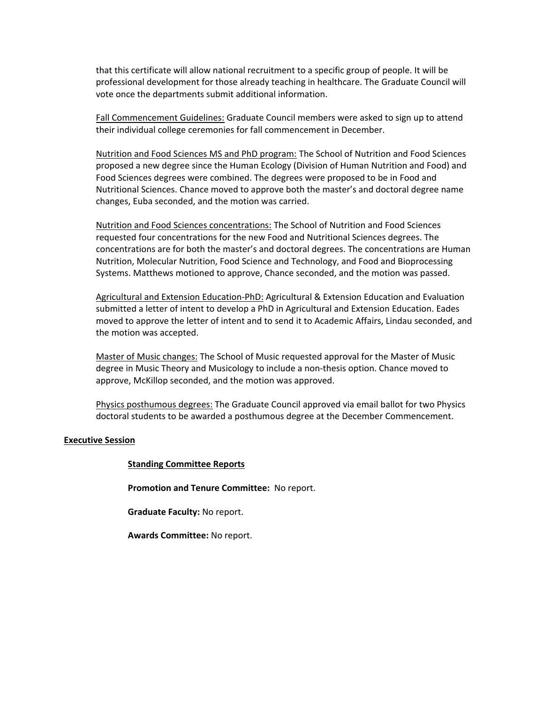that this certificate will allow national recruitment to a specific group of people. It will be professional development for those already teaching in healthcare. The Graduate Council will vote once the departments submit additional information.

Fall Commencement Guidelines: Graduate Council members were asked to sign up to attend their individual college ceremonies for fall commencement in December.

Nutrition and Food Sciences MS and PhD program: The School of Nutrition and Food Sciences proposed a new degree since the Human Ecology (Division of Human Nutrition and Food) and Food Sciences degrees were combined. The degrees were proposed to be in Food and Nutritional Sciences. Chance moved to approve both the master's and doctoral degree name changes, Euba seconded, and the motion was carried.

Nutrition and Food Sciences concentrations: The School of Nutrition and Food Sciences requested four concentrations for the new Food and Nutritional Sciences degrees. The concentrations are for both the master's and doctoral degrees. The concentrations are Human Nutrition, Molecular Nutrition, Food Science and Technology, and Food and Bioprocessing Systems. Matthews motioned to approve, Chance seconded, and the motion was passed.

Agricultural and Extension Education-PhD: Agricultural & Extension Education and Evaluation submitted a letter of intent to develop a PhD in Agricultural and Extension Education. Eades moved to approve the letter of intent and to send it to Academic Affairs, Lindau seconded, and the motion was accepted.

Master of Music changes: The School of Music requested approval for the Master of Music degree in Music Theory and Musicology to include a non-thesis option. Chance moved to approve, McKillop seconded, and the motion was approved.

Physics posthumous degrees: The Graduate Council approved via email ballot for two Physics doctoral students to be awarded a posthumous degree at the December Commencement.

## **Executive Session**

### **Standing Committee Reports**

**Promotion and Tenure Committee:** No report.

**Graduate Faculty:** No report.

**Awards Committee:** No report.